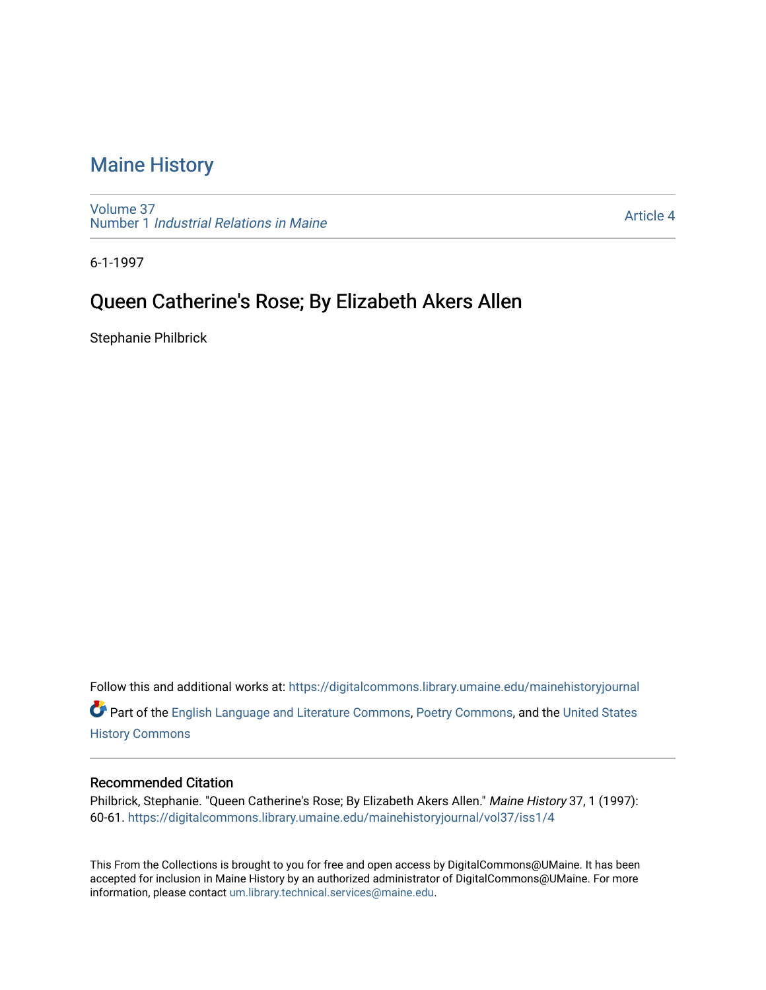## [Maine History](https://digitalcommons.library.umaine.edu/mainehistoryjournal)

[Volume 37](https://digitalcommons.library.umaine.edu/mainehistoryjournal/vol37) Number 1 [Industrial Relations in Maine](https://digitalcommons.library.umaine.edu/mainehistoryjournal/vol37/iss1)

[Article 4](https://digitalcommons.library.umaine.edu/mainehistoryjournal/vol37/iss1/4) 

6-1-1997

## Queen Catherine's Rose; By Elizabeth Akers Allen

Stephanie Philbrick

Follow this and additional works at: [https://digitalcommons.library.umaine.edu/mainehistoryjournal](https://digitalcommons.library.umaine.edu/mainehistoryjournal?utm_source=digitalcommons.library.umaine.edu%2Fmainehistoryjournal%2Fvol37%2Fiss1%2F4&utm_medium=PDF&utm_campaign=PDFCoverPages)  Part of the [English Language and Literature Commons](http://network.bepress.com/hgg/discipline/455?utm_source=digitalcommons.library.umaine.edu%2Fmainehistoryjournal%2Fvol37%2Fiss1%2F4&utm_medium=PDF&utm_campaign=PDFCoverPages), [Poetry Commons](http://network.bepress.com/hgg/discipline/1153?utm_source=digitalcommons.library.umaine.edu%2Fmainehistoryjournal%2Fvol37%2Fiss1%2F4&utm_medium=PDF&utm_campaign=PDFCoverPages), and the [United States](http://network.bepress.com/hgg/discipline/495?utm_source=digitalcommons.library.umaine.edu%2Fmainehistoryjournal%2Fvol37%2Fiss1%2F4&utm_medium=PDF&utm_campaign=PDFCoverPages)  [History Commons](http://network.bepress.com/hgg/discipline/495?utm_source=digitalcommons.library.umaine.edu%2Fmainehistoryjournal%2Fvol37%2Fiss1%2F4&utm_medium=PDF&utm_campaign=PDFCoverPages)

## Recommended Citation

Philbrick, Stephanie. "Queen Catherine's Rose; By Elizabeth Akers Allen." Maine History 37, 1 (1997): 60-61. [https://digitalcommons.library.umaine.edu/mainehistoryjournal/vol37/iss1/4](https://digitalcommons.library.umaine.edu/mainehistoryjournal/vol37/iss1/4?utm_source=digitalcommons.library.umaine.edu%2Fmainehistoryjournal%2Fvol37%2Fiss1%2F4&utm_medium=PDF&utm_campaign=PDFCoverPages)

This From the Collections is brought to you for free and open access by DigitalCommons@UMaine. It has been accepted for inclusion in Maine History by an authorized administrator of DigitalCommons@UMaine. For more information, please contact [um.library.technical.services@maine.edu](mailto:um.library.technical.services@maine.edu).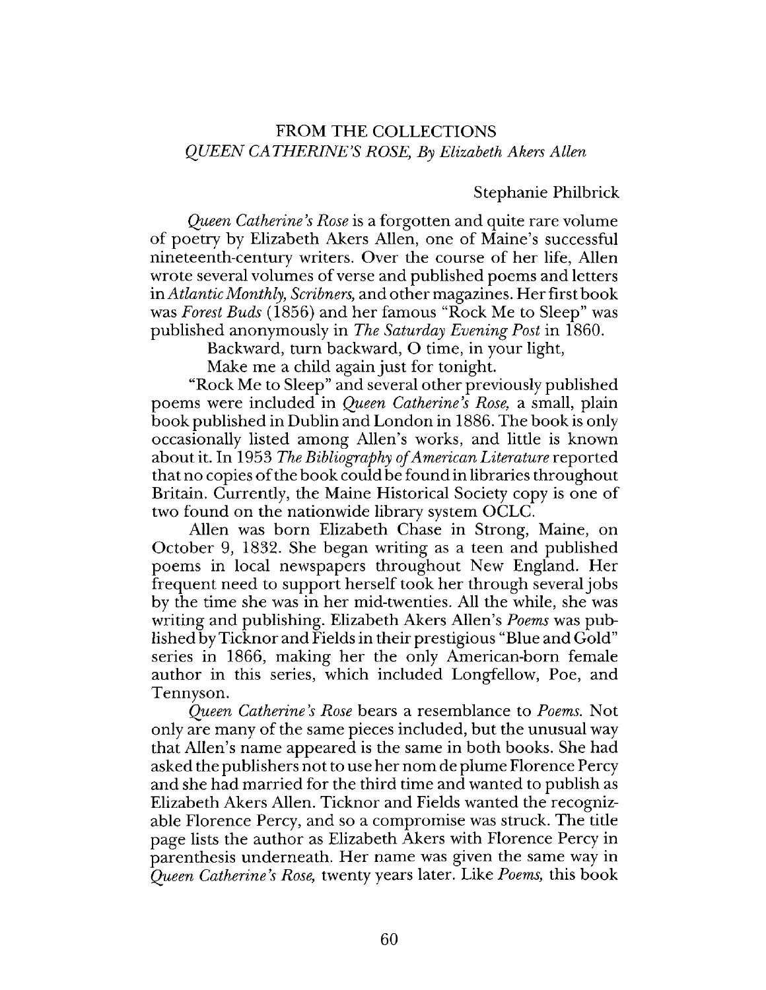## FROM THE COLLECTIONS *QUEEN CATHERINE'S ROSE*; *By Elizabeth Akers Allen*

Stephanie Philbrick

*Queen Catherine's Rose* is a forgotten and quite rare volume of poetry by Elizabeth Akers Allen, one of Maine's successful nineteenth-century writers. Over the course of her life, Allen wrote several volumes of verse and published poems and letters in *Atlantic Monthly, Scribners,* and other magazines. Her first book was *Forest Buds* (1856) and her famous "Rock Me to Sleep" was published anonymously in *The Saturday Evening Post* in 1860.

Backward, turn backward, O time, in your light,

Make me a child again just for tonight.

"Rock Me to Sleep" and several other previously published poems were included in *Queen Catherine's Rose,* a small, plain book published in Dublin and London in 1886. The book is only occasionally listed among Allen's works, and little is known about it. In 1953 *The Bibliography of American Literature* reported that no copies of the book could be found in libraries throughout Britain. Currently, the Maine Historical Society copy is one of two found on the nationwide library system OCLC.

Allen was born Elizabeth Chase in Strong, Maine, on October 9, 1832. She began writing as a teen and published poems in local newspapers throughout New England. Her frequent need to support herself took her through several jobs by the time she was in her mid-twenties. All the while, she was writing and publishing. Elizabeth Akers Allen's *Poems* was published by Ticknor and Fields in their prestigious "Blue and Gold" series in 1866, making her the only American-born female author in this series, which included Longfellow, Poe, and Tennyson.

*Queen Catherine's Rose* bears a resemblance to *Poems.* Not only are many of the same pieces included, but the unusual way that Allen's name appeared is the same in both books. She had asked the publishers not to use her nom de plume Florence Percy and she had married for the third time and wanted to publish as Elizabeth Akers Allen. Ticknor and Fields wanted the recognizable Florence Percy, and so a compromise was struck. The title page lists the author as Elizabeth Akers with Florence Percy in parenthesis underneath. Her name was given the same way in *Queen Catherine's Rose,* twenty years later. Like *Poems,* this book